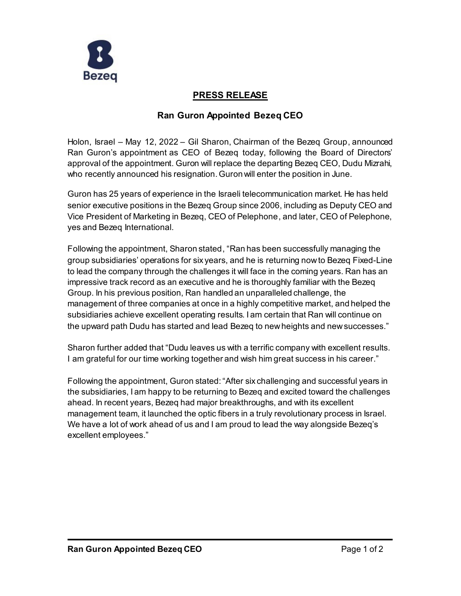

# **PRESS RELEASE**

# **Ran Guron Appointed Bezeq CEO**

Holon, Israel – May 12, 2022 – Gil Sharon, Chairman of the Bezeq Group, announced Ran Guron's appointment as CEO of Bezeq today, following the Board of Directors' approval of the appointment. Guron will replace the departing Bezeq CEO, Dudu Mizrahi, who recently announced his resignation. Guron will enter the position in June.

Guron has 25 years of experience in the Israeli telecommunication market. He has held senior executive positions in the Bezeq Group since 2006, including as Deputy CEO and Vice President of Marketing in Bezeq, CEO of Pelephone, and later, CEO of Pelephone, yes and Bezeq International.

Following the appointment, Sharon stated, "Ran has been successfully managing the group subsidiaries' operations for six years, and he is returning now to Bezeq Fixed-Line to lead the company through the challenges it will face in the coming years. Ran has an impressive track record as an executive and he is thoroughly familiar with the Bezeq Group. In his previous position, Ran handled an unparalleled challenge, the management of three companies at once in a highly competitive market, and helped the subsidiaries achieve excellent operating results. I am certain that Ran will continue on the upward path Dudu has started and lead Bezeq to new heights and new successes."

Sharon further added that "Dudu leaves us with a terrific company with excellent results. I am grateful for our time working together and wish him great success in his career."

Following the appointment, Guron stated: "After six challenging and successful years in the subsidiaries, I am happy to be returning to Bezeq and excited toward the challenges ahead. In recent years, Bezeq had major breakthroughs, and with its excellent management team, it launched the optic fibers in a truly revolutionary process in Israel. We have a lot of work ahead of us and I am proud to lead the way alongside Bezeq's excellent employees."